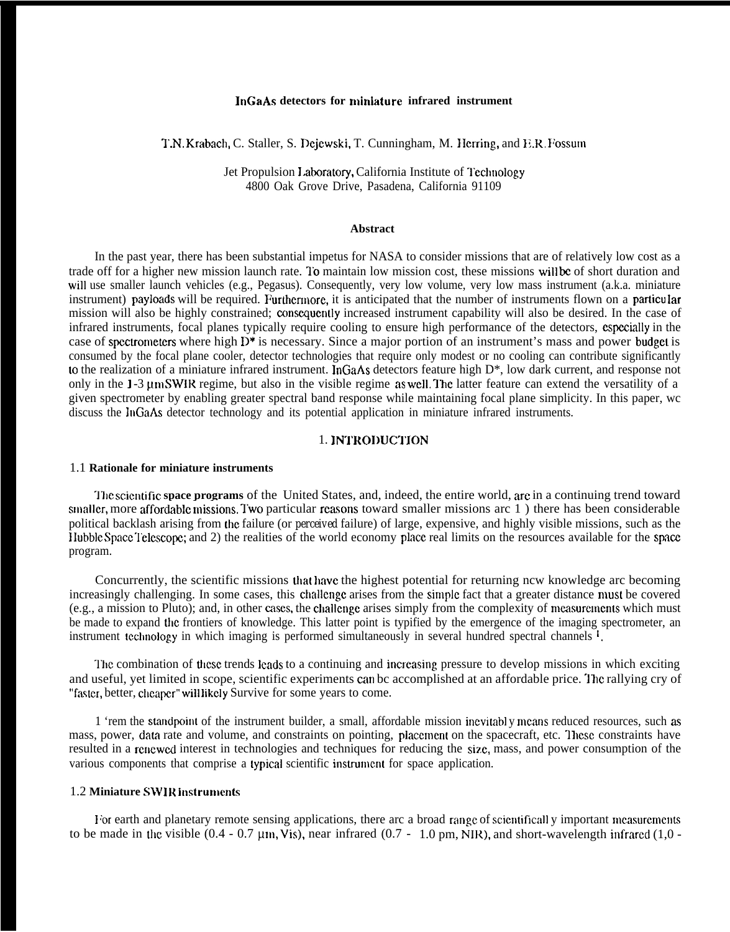## InGaAs detectors for miniature infrared instrument

# T.N. Krabach, C. Staller, S. Dejewski, T. Cunningham, M. Herring, and E.R. Fossum

Jet Propulsion Laboratory, California Institute of Technology 4800 Oak Grove Drive, Pasadena, California 91109

### **Abstract**

In the past year, there has been substantial impetus for NASA to consider missions that are of relatively low cost as a trade off for a higher new mission launch rate. 1'o maintain low mission cost, these missions will be of short duration and will use smaller launch vehicles (e.g., Pegasus). Consequently, very low volume, very low mass instrument (a.k.a. miniature instrument) payloads will be required. Furthermore, it is anticipated that the number of instruments flown on a particular mission will also be highly constrained; consequently increased instrument capability will also be desired. In the case of infrared instruments, focal planes typically require cooling to ensure high performance of the detectors, especially in the case of spectrometers where high  $D^*$  is necessary. Since a major portion of an instrument's mass and power budget is consumed by the focal plane cooler, detector technologies that require only modest or no cooling can contribute significantly to the realization of a miniature infrared instrument. InGaAs detectors feature high  $D^*$ , low dark current, and response not only in the 1 -3 pm SWIK regime, but also in the visible regime as well. The latter feature can extend the versatility of a given spectrometer by enabling greater spectral band response while maintaining focal plane simplicity. In this paper, wc discuss the InGaAs detector technology and its potential application in miniature infrared instruments.

# 1. INTRODUCTION

#### 1.1 **Rationale for miniature instruments**

The scientific space programs of the United States, and, indeed, the entire world, are in a continuing trend toward smaller, more affordable missions. Two particular reasons toward smaller missions arc  $1$ ) there has been considerable political backlash arising from the failure (or *perceived* failure) of large, expensive, and highly visible missions, such as the  $\hat{I}$ lubble Space Telescope; and 2) the realities of the world economy place real limits on the resources available for the space program.

Concurrently, the scientific missions that have the highest potential for returning ncw knowledge arc becoming increasingly challenging. In some cases, this challcngc arises from the simple fact that a greater distance must be covered  $(e.g., a mission to Pluto)$ ; and, in other cases, the challenge arises simply from the complexity of measurements which must be made to expand the frontiers of knowledge. This latter point is typified by the emergence of the imaging spectrometer, an instrument technology in which imaging is performed simultaneously in several hundred spectral channels  $\frac{1}{1}$ .

The combination of these trends leads to a continuing and increasing pressure to develop missions in which exciting and useful, yet limited in scope, scientific experiments can bc accomplished at an affordable price. The rallying cry of "faster, better, cheaper" will likely Survive for some years to come.

1 'rem the standpoint of the instrument builder, a small, affordable mission inevitably means reduced resources, such as mass, power, data rate and volume, and constraints on pointing, placement on the spacecraft, etc. These constraints have resulted in a rcncwcd interest in technologies and techniques for reducing the size, mass, and power consumption of the various components that comprise a typical scientific instrument for space application.

## 1.2 Miniature SWIR instruments

**<sup>I</sup> 'or** earth and planetary remote sensing applications, there arc a broad range of scicntifica]l y important mcasurcmcnts to be made in the visible  $(0.4 - 0.7 \mu m, Vis)$ , near infrared  $(0.7 - 1.0 \mu m, NIR)$ , and short-wavelength infrared  $(1.0 -$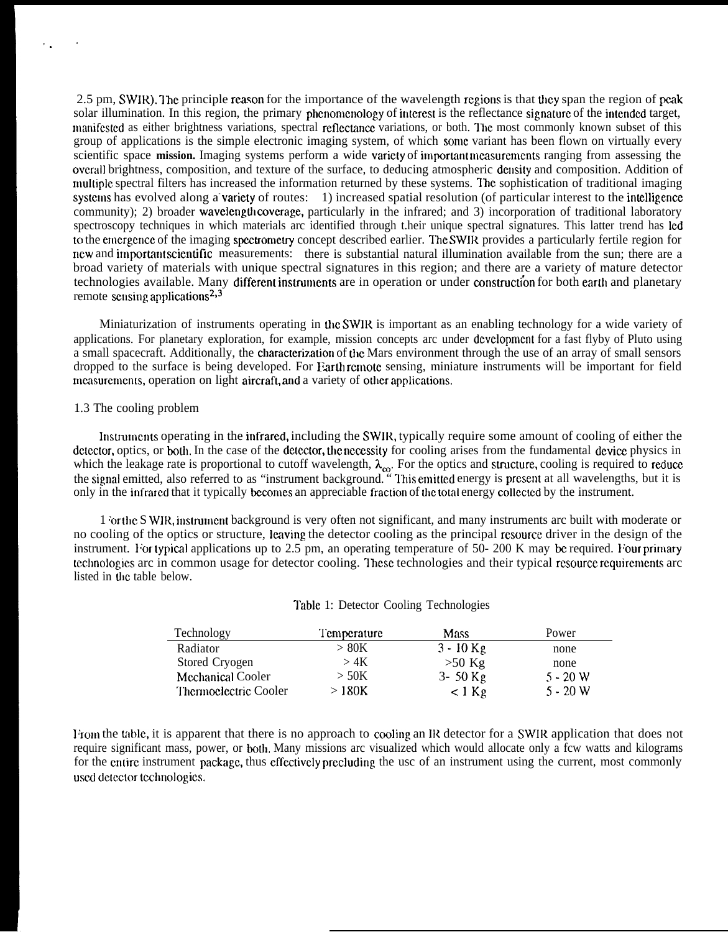2.5 pm, SWIR). The principle reason for the importance of the wavelength regions is that they span the region of peak solar illumination. In this region, the primary phenomenology of interest is the reflectance signature of the intended target, manifested as either brightness variations, spectral reflectance variations, or both. The most commonly known subset of this group of applications is the simple electronic imaging system, of which some variant has been flown on virtually every scientific space mission. Imaging systems perform a wide variety of important measurements ranging from assessing the overall brightness, composition, and texture of the surface, to deducing atmospheric density and composition. Addition of multiple spectral filters has increased the information returned by these systems. The sophistication of traditional imaging systems has evolved along a variety of routes:  $1)$  increased spatial resolution (of particular interest to the intelligence community); 2) broader wavelength coverage, particularly in the infrared; and 3) incorporation of traditional laboratory spectroscopy techniques in which materials arc identified through t.heir unique spectral signatures. This latter trend has lcd to the emergence of the imaging spectrometry concept described earlier. The SWIR provides a particularly fertile region for ncw and important scientific measurements: there is substantial natural illumination available from the sun; there are a broad variety of materials with unique spectral signatures in this region; and there are a variety of mature detector technologies available. Many different instruments are in operation or under construction for both earth and planetary remote scusing applications<sup>2,3</sup>

Miniaturization of instruments operating in the SWIR is important as an enabling technology for a wide variety of applications. For planetary exploration, for example, mission concepts arc under dcvclopmcnt for a fast flyby of Pluto using a small spacecraft. Additionally, the characterization of the Mars environment through the use of an array of small sensors dropped to the surface is being developed. For Farlh rcmole sensing, miniature instruments will be important for field measurements, operation on light aircraft, and a variety of other applications.

### 1.3 The cooling problem

,."

lnstrwncnts operating in the iufrarcd, including the SWII{, typically require some amount of cooling of either the detector, optics, or both. In the case of the detector, the necessity for cooling arises from the fundamental device physics in which the leakage rate is proportional to cutoff wavelength,  $\lambda_{\alpha}$ . For the optics and structure, cooling is required to reduce the signal emitted, also referred to as "instrument background. "This emitted energy is present at all wavelengths, but it is only in the infrared that it typically becomes an appreciable fraction of the total energy collected by the instrument.

1 'or the S WIR, instrument background is very often not significant, and many instruments arc built with moderate or no cooling of the optics or structure, leaving the detector cooling as the principal resource driver in the design of the instrument. For typical applications up to  $2.5$  pm, an operating temperature of  $50-200$  K may be required. Four primary [cchnologics arc in common usage for detector cooling. lhcsc technologies and their typical rcsourcc rcquircmcnts arc listed in the table below.

## Table 1: Detector Cooling Technologies

| Technology               | Temperature | <b>Mass</b> | Power      |
|--------------------------|-------------|-------------|------------|
| Radiator                 | > 80K       | $3 - 10$ Kg | none       |
| Stored Cryogen           | >4K         | $>50$ Kg    | none       |
| <b>Mechanical Cooler</b> | $>$ 50K     | $3 - 50$ Kg | $5 - 20$ W |
| Thermoelectric Cooler    | >180K       | $<$ 1 Kg    | $5 - 20 W$ |

l'rom the table, it is apparent that there is no approach to cooling an IR detector for a SWIR application that does not require significant mass, power, or both. Many missions arc visualized which would allocate only a fcw watts and kilograms for the cntirc instrument package, thus effectively precluding the usc of an instrument using the current, most commonly used detector technologies.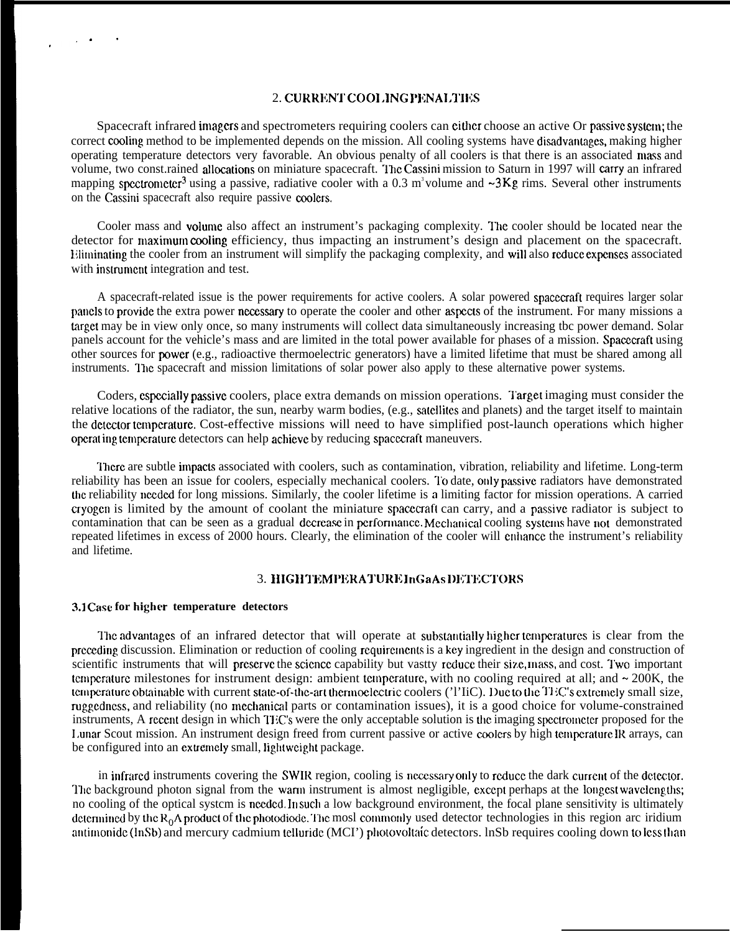# 2. CURRENT COOL ING PENALTIES

Spacecraft infrared imagers and spectrometers requiring coolers can cither choose an active Or passive system; the correct cooling method to be implemented depends on the mission. All cooling systems have disadvantages, making higher operating temperature detectors very favorable. An obvious penalty of all coolers is that there is an associated mass and volume, two const.rained allocations on miniature spacecraft. The Cassini mission to Saturn in 1997 will carry an infrared mapping spectrometer<sup>3</sup> using a passive, radiative cooler with a 0.3 m<sup>3</sup>volume and  $\sim$ 3Kg rims. Several other instruments on the Cassini spacecraft also require passive coolers.

Cooler mass and volume also affect an instrument's packaging complexity. The cooler should be located near the detector for maximum cooling efficiency, thus impacting an instrument's design and placement on the spacecraft. llliminating the cooler from an instrument will simplify the packaging complexity, and will also rcducc cxpcnscs associated with instrument integration and test.

A spacecraft-related issue is the power requirements for active coolers. A solar powered spacecraft requires larger solar panels to provide the extra power necessary to operate the cooler and other aspects of the instrument. For many missions a Larget may be in view only once, so many instruments will collect data simultaneously increasing tbc power demand. Solar panels account for the vehicle's mass and are limited in the total power available for phases of a mission. Spacecraft using other sources for **power** (e.g., radioactive thermoelectric generators) have a limited lifetime that must be shared among all instruments. The spacecraft and mission limitations of solar power also apply to these alternative power systems.

Coders, especially passive coolers, place extra demands on mission operations. Target imaging must consider the relative locations of the radiator, the sun, nearby warm bodies, (e.g., satellites and planets) and the target itself to maintain the detector temperature. Cost-effective missions will need to have simplified post-launch operations which higher operat ing temperature detectors can help achieve by reducing spacecraft maneuvers.

There are subtle impacts associated with coolers, such as contamination, vibration, reliability and lifetime. Long-term reliability has been an issue for coolers, especially mechanical coolers. To date, only passive radiators have demonstrated the reliability needed for long missions. Similarly, the cooler lifetime is a limiting factor for mission operations. A carried cryogen is limited by the amount of coolant the miniature spacecraft can carry, and a passive radiator is subject to contamination that can be seen as a gradual decrease in performance. Mechanical cooling systems have not demonstrated repeated lifetimes in excess of 2000 hours. Clearly, the elimination of the cooler will cnhancc the instrument's reliability and lifetime.

# 3. **IIIGI1 TltMI'1UtA'1'URIt InGaAs D1l'lCTORS**

#### **3.1 Case for higher temperature detectors**

. .

,"

The advantages of an infrared detector that will operate at substantially higher temperatures is clear from the preceding discussion. Elimination or reduction of cooling requirements is a key ingredient in the design and construction of scientific instruments that will preserve the science capability but vastty reduce their size, mass, and cost. Two important temperature milestones for instrument design: ambient temperature, with no cooling required at all; and  $\sim$  200K, the temperature obtainable with current state-of-the-art thermoelectric coolers ('l'IiC). Due to the THC's extremely small size, ruggedness, and reliability (no mechanical parts or contamination issues), it is a good choice for volume-constrained instruments, A recent design in which TEC's were the only acceptable solution is the imaging spectrometer proposed for the Lunar Scout mission. An instrument design freed from current passive or active coolers by high temperature IR arrays, can be configured into an extremely small, lightweight package.

in infrared instruments covering the SWIR region, cooling is necessary only to reduce the dark current of the detector. The background photon signal from the warm instrument is almost negligible, except perhaps at the longest wavelengths; no cooling of the optical system is needed. Insuch a low background environment, the focal plane sensitivity is ultimately determined by the  $R_0\Lambda$  product of the photodiode. The mosl commonly used detector technologies in this region arc iridium antimonide (InSb) and mercury cadmium telluride (MCI') photovoltaic detectors. lnSb requires cooling down to less than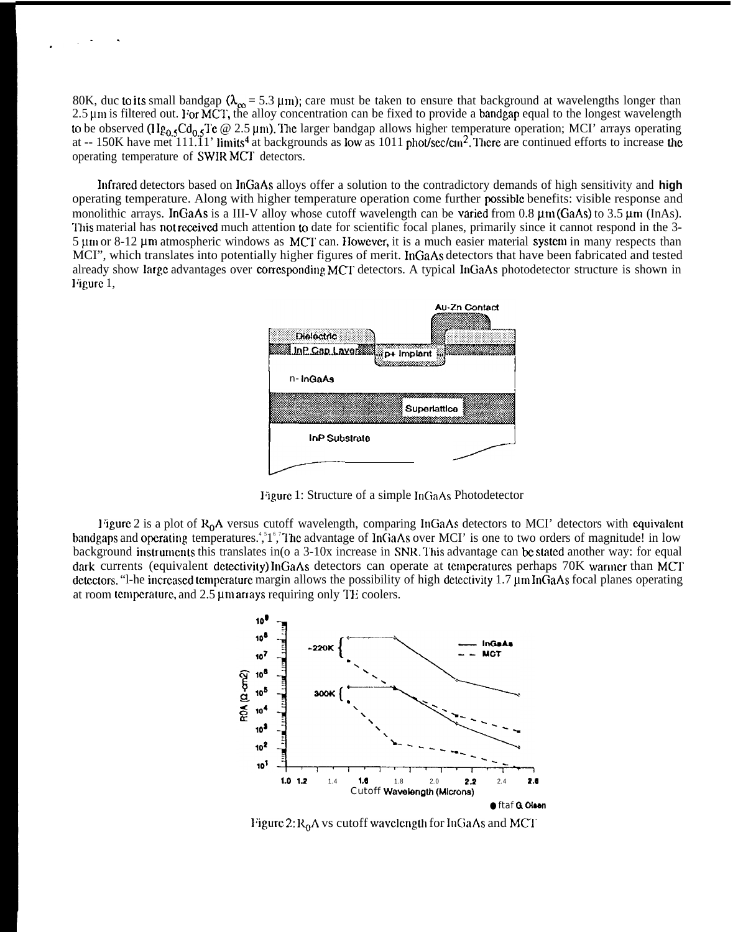80K, duc to its small bandgap ( $\lambda_{\infty}$  = 5.3 µm); care must be taken to ensure that background at wavelengths longer than  $2.5 \,\mu$ m is filtered out. For MCT, the alloy concentration can be fixed to provide a bandgap equal to the longest wavelength to be observed  $(IIg_{0.5}Cd_{0.5}Te \ @ 2.5 \mu m)$ . The larger bandgap allows higher temperature operation; MCI' arrays operating at -- 150K have met 111.11' limits<sup>4</sup> at backgrounds as low as 1011 phot/sec/cm<sup>2</sup>. There are continued efforts to increase the operating temperature of SWIR MCT detectors.

. .

.'

]nfrarcd detectors based on InGaAs alloys offer a solution to the contradictory demands of high sensitivity and **high** operating temperature. Along with higher temperature operation come further possible benefits: visible response and monolithic arrays. InGaAs is a III-V alloy whose cutoff wavelength can be varied from 0.8  $\mu$ m (GaAs) to 3.5  $\mu$ m (InAs). This material has not received much attention to date for scientific focal planes, primarily since it cannot respond in the 3-5  $\mu$ m or 8-12  $\mu$ m atmospheric windows as MCT can. However, it is a much easier material system in many respects than MCI", which translates into potentially higher figures of merit. InGaAs detectors that have been fabricated and tested already show large advantages over corresponding MCI detectors. A typical InGaAs photodetector structure is shown in Figure 1,



Figure 1: Structure of a simple InGaAs Photodetector

Figure 2 is a plot of  $R_0A$  versus cutoff wavelength, comparing InGaAs detectors to MCI' detectors with equivalent bandgaps and operating temperatures.<sup>45</sup>,<sup>45</sup> The advantage of InGaAs over MCI' is one to two orders of magnitude! in low background instruments this translates in(o a 3-10x increase in SNR. This advantage can be stated another way: for equal dark currents (equivalent detectivity) InGaAs detectors can operate at temperatures perhaps 70K warmer than MCT detectors. "I-he increased temperature margin allows the possibility of high detectivity 1.7 μm InGaAs focal planes operating at room temperature, and  $2.5 \mu$ m arrays requiring only TE coolers.



Figure 2:  $R_0A$  vs cutoff wavelength for InGaAs and MCT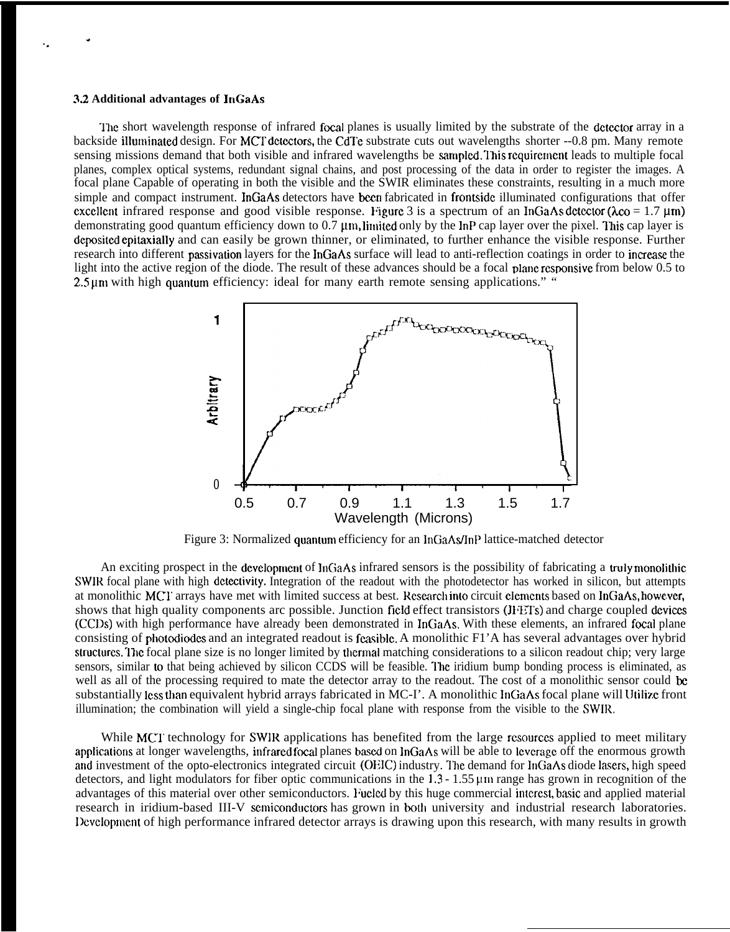#### **3.2 Additional advantages of lnGaAs**

.

. .

The short wavelength response of infrared focal planes is usually limited by the substrate of the detector array in a backside illuminated design. For MCT detectors, the CdTe substrate cuts out wavelengths shorter --0.8 pm. Many remote sensing missions demand that both visible and infrared wavelengths be sampled. This requirement leads to multiple focal planes, complex optical systems, redundant signal chains, and post processing of the data in order to register the images. A focal plane Capable of operating in both the visible and the SWIR eliminates these constraints, resulting in a much more simple and compact instrument. InGaAs detectors have been fabricated in frontside illuminated configurations that offer excellent infrared response and good visible response. Figure 3 is a spectrum of an InGaAs detector ( $\lambda$ co = 1.7  $\mu$ m) demonstrating good quantum efficiency down to  $0.7 \mu m$ , limited only by the InP cap layer over the pixel. This cap layer is deposited epitaxially and can easily be grown thinner, or eliminated, to further enhance the visible response. Further research into different passivation layers for the InGaAs surface will lead to anti-reflection coatings in order to increase the light into the active region of the diode. The result of these advances should be a focal plane responsive from below 0.5 to  $2.5 \mu m$  with high quantum efficiency: ideal for many earth remote sensing applications." "



Figure 3: Normalized quantum efficiency for an InGaAs/InP lattice-matched detector

An exciting prospect in the development of InGaAs infrared sensors is the possibility of fabricating a truly monolithic SWIR focal plane with high dctcctivity. Integration of the readout with the photodetector has worked in silicon, but attempts at monolithic MCT arrays have met with limited success at best. Research into circuit clements based on InGaAs, however, shows that high quality components arc possible. Junction field effect transistors (JFETs) and charge coupled devices (CCDS) with high performance have already been demonstrated in InGaAs. With these elements, an infrared focal plane consisting of photodiodes and an integrated readout is feasible. A monolithic F1'A has several advantages over hybrid structures. The focal plane size is no longer limited by thermal matching considerations to a silicon readout chip; very large sensors, similar to that being achieved by silicon CCDS will be feasible. The iridium bump bonding process is eliminated, as well as all of the processing required to mate the detector array to the readout. The cost of a monolithic sensor could be substantially less than equivalent hybrid arrays fabricated in MC-I'. A monolithic InGaAs focal plane will Utilize front illumination; the combination will yield a single-chip focal plane with response from the visible to the SWIR.

While MCT technology for SWIR applications has benefited from the large resources applied to meet military applications at longer wavelengths, infrared focal planes based on  $\ln GaAs$  will be able to leverage off the enormous growth and investment of the opto-electronics integrated circuit (OEIC) industry. The demand for  $InGaAs$  diode lasers, high speed detectors, and light modulators for fiber optic communications in the  $1.3 - 1.55 \,\mu m$  range has grown in recognition of the advantages of this material over other semiconductors. Fueled by this huge commercial interest, basic and applied material research in iridium-based III-V semiconductors has grown in both university and industrial research laboratories. Dcvclopmcnt of high performance infrared detector arrays is drawing upon this research, with many results in growth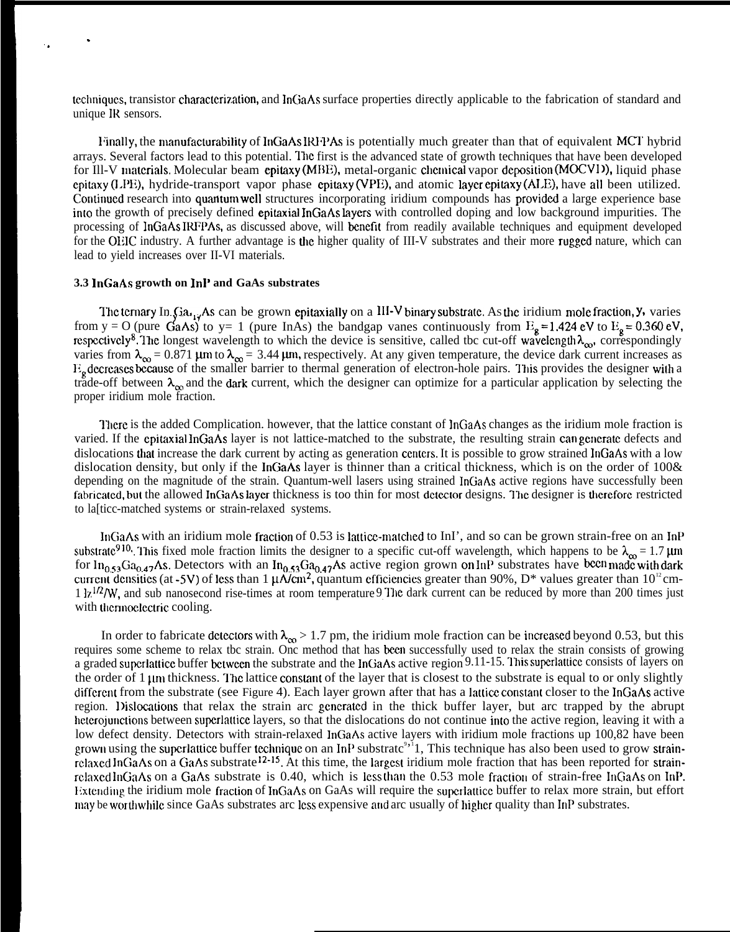techniques, transistor characterization, and InGaAs surface properties directly applicable to the fabrication of standard and unique IR sensors.

If Iinally, the manufacturability of InGaAs IRITPAs is potentially much greater than that of equivalent MCT hybrid arrays. Several factors lead to this potential. 'Mc first is the advanced state of growth techniques that have been developed for Ill-V materials, Molecular beam epitaxy (MBE), metal-organic chemical vapor deposition (MOCVI)), liquid phase cpitaxy  $(LPE)$ , hydride-transport vapor phase epitaxy (VPE), and atomic layer epitaxy (ALE), have all been utilized. Continued research into quantum well structures incorporating iridium compounds has provided a large experience base into the growth of precisely defined epitaxial InGaAs layers with controlled doping and low background impurities. The processing of lnGaAs IKFPAs, as discussed above, will benctit from readily available techniques and equipment developed for the OEIC industry. A further advantage is the higher quality of III-V substrates and their more rugged nature, which can lead to yield increases over II-VI materials.

#### **3.3 lnGaAs growth on lnl' and GaAs substrates**

.

,.

The ternary In Ga.<sub>12</sub>As can be grown epitaxially on a III-V binary substrate. As the iridium mole fraction, Y varies from y = O (pure GaAs) to y= 1 (pure InAs) the bandgap vanes continuously from  $E_g = 1.424$  eV to  $E_g = 0.360$  eV. respectively<sup>8</sup>. The longest wavelength to which the device is sensitive, called tbc cut-off wavelength  $\lambda_{\alpha}$ , correspondingly varies from  $\lambda_{\rm m}$  = 0.871 µm to  $\lambda_{\rm m}$  = 3.44 µm, respectively. At any given temperature, the device dark current increases as  $E<sub>e</sub>$  decreases because of the smaller barrier to thermal generation of electron-hole pairs. This provides the designer with a trade-off between  $\lambda_{\infty}$  and the dark current, which the designer can optimize for a particular application by selecting the proper iridium mole fraction.

There is the added Complication. however, that the lattice constant of lnGaAs changes as the iridium mole fraction is varied. If the epitaxial InGaAs layer is not lattice-matched to the substrate, the resulting strain can generate defects and dislocations that increase the dark current by acting as generation centers. It is possible to grow strained InGaAs with a low dislocation density, but only if the InGaAs layer is thinner than a critical thickness, which is on the order of 100& depending on the magnitude of the strain. Quantum-well lasers using strained InGaAs active regions have successfully been fabricated, but the allowed InGaAs layer thickness is too thin for most detector designs. The designer is therefore restricted to la[ticc-matched systems or strain-relaxed systems.

 $lnGaAs$  with an iridium mole fraction of 0.53 is lattice-matched to InI', and so can be grown strain-free on an InP substrate<sup>910</sup>. This fixed mole fraction limits the designer to a specific cut-off wavelength, which happens to be  $\lambda_{\rm o}=1.7$  µm for In<sub>0.53</sub>Ga<sub>0.47</sub>As. Detectors with an In<sub>0.53</sub>Ga<sub>0.47</sub>As active region grown on InP substrates have been made with dark current densities (at -5V) of less than 1  $\mu$ *N* cm<sup>2</sup>, quantum efficiencies greater than 90%, D\* values greater than 10<sup>12</sup> cm- $1 \frac{k^{1/2}}{N}$ , and sub nanosecond rise-times at room temperature 9. The dark current can be reduced by more than 200 times just with thermoelectric cooling.

In order to fabricate detectors with  $\lambda_{\infty} > 1.7$  pm, the iridium mole fraction can be increased beyond 0.53, but this requires some scheme to relax tbc strain. Onc method that has been successfully used to relax the strain consists of growing a graded superlattice buffer between the substrate and the InGaAs active region 9.11-15. This superlattice consists of layers on the order of 1 µm thickness. The lattice constant of the layer that is closest to the substrate is equal to or only slightly different from the substrate (see Figure 4). Each layer grown after that has a lattice constant closer to the InGaAs active region. l)islocations that relax the strain arc gcncratcd in the thick buffer layer, but arc trapped by the abrupt heterojunctions between superlattice layers, so that the dislocations do not continue into the active region, leaving it with a low defect density. Detectors with strain-relaxed InGaAs active layers with iridium mole fractions up 100,82 have been grown using the superlattice buffer technique on an InP substrate<sup>9,1</sup>1, This technique has also been used to grow strainrclaxed lnGaAs on a GaAs substrate <sup>12-15</sup>. At this time, the largest iridium mole fraction that has been reported for strainrclaxed  $InGaAs$  on a GaAs substrate is 0.40, which is less than the 0.53 mole fraction of strain-free InGaAs on InP. I<sub>ixtending</sub> the iridium mole fraction of InGaAs on GaAs will require the superlattice buffer to relax more strain, but effort may be worthwhile since GaAs substrates arc less expensive and arc usually of higher quality than InP substrates.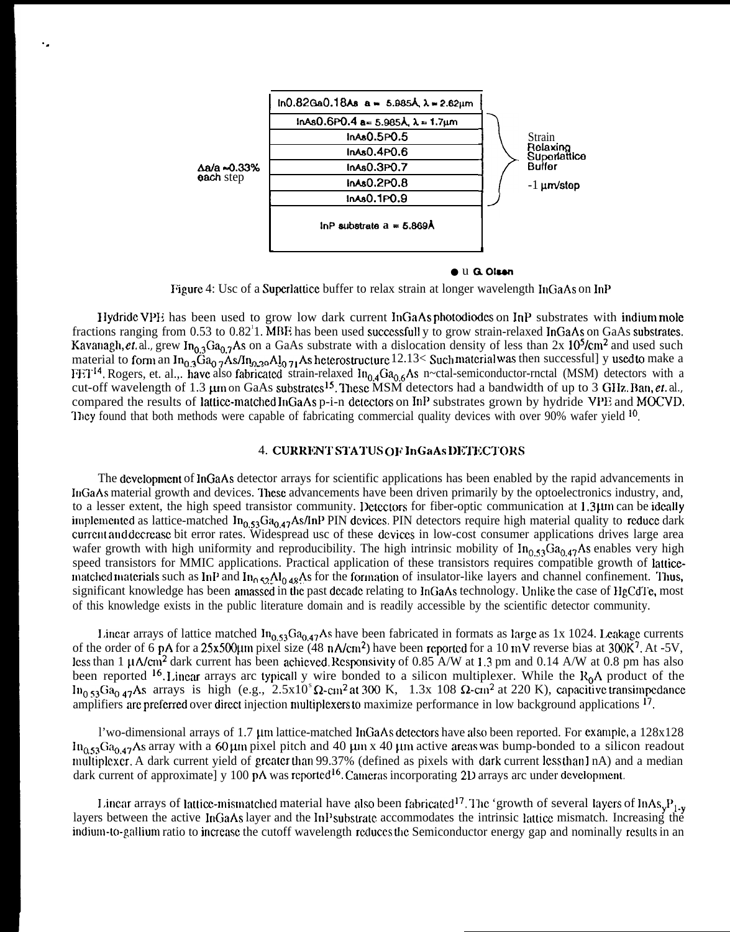



Figure 4: Usc of a Superlattice buffer to relax strain at longer wavelength InGaAs on InP

Hydride VPE has been used to grow low dark current InGaAs photodiodes on InP substrates with indium mole fractions ranging from  $0.53$  to  $0.82^1$ . MBE has been used successfull y to grow strain-relaxed InGaAs on GaAs substrates. Kavanagh, et. al., grew In<sub>0.3</sub>Ga<sub>0.7</sub>As on a GaAs substrate with a dislocation density of less than 2x 10<sup>5</sup>/cm<sup>2</sup> and used such material to form an  $In_{0.3}Ga_{0.7}As/In_{0.20}Al_{0.71}As$  heterostructure 12.13< Such material was then successful] y used to make a<br>FET<sup>14</sup>. Rogers, et. al.,. have also fabricated strain-relaxed  $In_{0.4}Ga_{0.6}As$  n~ctal-semicond compared the results of lattice-matched InGaAs p-i-n detectors on InP substrates grown by hydride VPE and MOCVD. They found that both methods were capable of fabricating commercial quality devices with over 90% wafer yield <sup>10</sup>.

## 4. CURRENT STATUS OF InGaAs DETECTORS

The development of InGaAs detector arrays for scientific applications has been enabled by the rapid advancements in InGaAs material growth and devices. These advancements have been driven primarily by the optoelectronics industry, and, to a lesser extent, the high speed transistor community. Detectors for fiber-optic communication at  $1.3\mu$ m can be ideally implemented as lattice-matched In<sub>0.53</sub>Ga<sub>0.47</sub>As/InP PIN devices. PIN detectors require high material quality to reduce dark current and decrease bit error rates. Widespread usc of these devices in low-cost consumer applications drives large area wafer growth with high uniformity and reproducibility. The high intrinsic mobility of  $In_{0.53}Ga_{0.47}As$  enables very high speed transistors for MMIC applications. Practical application of these transistors requires compatible growth of latticematched materials such as InP and In<sub>0</sub>  $\Omega$  Al<sub>0</sub> 48</sub>As for the formation of insulator-like layers and channel confinement. Thus, significant knowledge has been amassed in the past decade relating to InGaAs technology. Unlike the case of HgCdTe, most of this knowledge exists in the public literature domain and is readily accessible by the scientific detector community.

Linear arrays of lattice matched  $\ln_{0.53}Ga_{0.47}$ As have been fabricated in formats as large as 1x 1024. Leakage currents of the order of 6 pA for a 25x500µm pixel size (48 nA/cm<sup>2</sup>) have been reported for a 10 mV reverse bias at 300K<sup>7</sup>. At -5V, less than 1  $\mu$ A/cm<sup>2</sup> dark current has been achieved. Responsivity of 0.85 A/W at 1.3 pm and 0.14 A/W at 0.8 pm has also been reported <sup>16</sup>. Linear arrays are typicall y wire bonded to a silicon multiplexer. While the R<sub>0</sub>A product of the  $\ln_{0.53}Ga_{0.47}As$  arrays is high (e.g., 2.5x10<sup>s</sup>  $\Omega$ -cm<sup>2</sup> at 300 K, 1.3x 108  $\Omega$ -cm<sup>2</sup> at 220 K),

l'wo-dimensional arrays of 1.7 µm lattice-matched lnGaAs detectors have also been reported. For example, a 128x128  $\ln_{0.53}$ Ga<sub>0.47</sub>As array with a 60 µm pixel pitch and 40 µm x 40 µm active areas was bump-bonded to a silicon readout multiplexer. A dark current yield of greater than 99.37% (defined as pixels with dark current less than I nA) and a median dark current of approximate] y 100 pA was reported<sup>16</sup>. Catneras incorporating 2D arrays arc under

Linear arrays of lattice-mismatched material have also been fabricated<sup>17</sup>. The 'growth of several layers of  $InAs_yP_{1,y}$ layers between the active InGaAs layer and the InP substrate accommodates the intrinsic lattice mismatch. Increasing the indium-to-gallium ratio to increase the cutoff wavelength reduces the Semiconductor energy gap and nominally results in an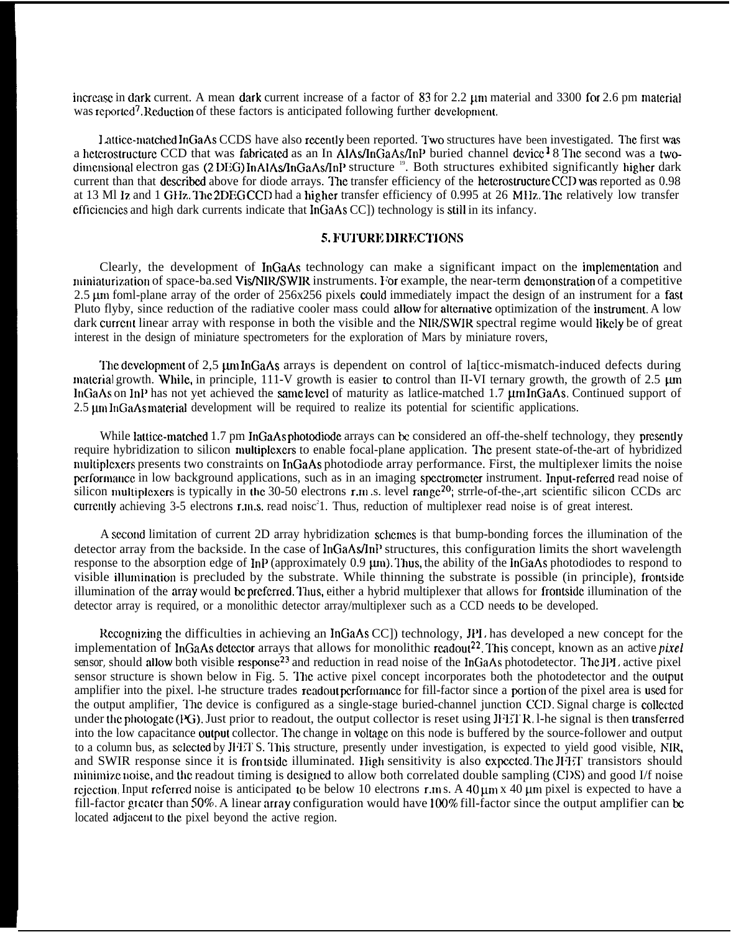increase in dark current. A mean dark current increase of a factor of  $83$  for 2.2  $\mu$ m material and 3300 for 2.6 pm material was reported<sup>7</sup>. Reduction of these factors is anticipated following further development.

Lattice-matched InGaAs CCDS have also recently been reported. Two structures have been investigated. The first was a heterostructure CCD that was fabricated as an In AlAs/InGaAs/InP buried channel device <sup>1</sup>8 The second was a twodimensional electron gas (2 DEG) InAIAs/InGaAs/InP structure <sup>19</sup>. Both structures exhibited significantly higher dark current than that described above for diode arrays. The transfer efficiency of the heterostructure CCD was reported as 0.98 at 13 Ml Iz and 1 GHz. The 2DEG CCD had a higher transfer efficiency of 0.995 at 26 MHz. The relatively low transfer cfficicncics and high dark currents indicate that InGaAs CC]) technology is slill in its infancy.

# **5. FUTURE DIRECTIONS**

Clearly, the development of InGaAs technology can make a significant impact on the implementation and nuniaturization of space-ba.sed Vis/NIR/SWIR instruments. For example, the near-term demonstration of a competitive 2.5 um foml-plane array of the order of  $256x256$  pixels could immediately impact the design of an instrument for a fast Pluto flyby, since reduction of the radiative cooler mass could atlow for ahcrnative optimization of the instrurncnt. A low dark current linear array with response in both the visible and the NIR/SWIR spectral regime would likely be of great interest in the design of miniature spectrometers for the exploration of Mars by miniature rovers,

The development of 2,5 µm InGaAs arrays is dependent on control of la[ticc-mismatch-induced defects during material growth. While, in principle, 111-V growth is easier to control than II-VI ternary growth, the growth of 2.5 um InGaAs on InP has not yet achieved the same level of maturity as latlice-matched 1.7 µm InGaAs. Continued support of 2.5 Um InGaAs materiat development will be required to realize its potential for scientific applications.

While lattice-matched 1.7 pm InGaAs photodiode arrays can be considered an off-the-shelf technology, they presently require hybridization to silicon multiplexers to enable focal-plane application. The present state-of-the-art of hybridized multiplexers presents two constraints on InGaAs photodiode array performance. First, the multiplexer limits the noise performance in low background applications, such as in an imaging spectrometer instrument. Input-referred read noise of silicon multiplexers is typically in the 30-50 electrons  $r.m$  s. level range<sup>20</sup>; strrle-of-the-,art scientific silicon CCDs arc currently achieving 3-5 electrons r.m.s. read noisc<sup>2</sup>1. Thus, reduction of multiplexer read noise is of great interest.

A second limitation of current 2D array hybridization schcmcs is that bump-bonding forces the illumination of the detector array from the backside. In the case of InGaAs/InP structures, this configuration limits the short wavelength response to the absorption edge of InP (approximately 0.9 µm). Thus, the ability of the lnGaAs photodiodes to respond to visible illumination is precluded by the substrate. While thinning the substrate is possible (in principle), frontside illumination of the array would be preferred. Thus, either a hybrid multiplexer that allows for frontside illumination of the detector array is required, or a monolithic detector array/multiplexer such as a CCD needs 10 be developed.

Recognizing the difficulties in achieving an InGaAs CC]) technology, JPI, has developed a new concept for the implementation of InGaAs detector arrays that allows for monolithic readout<sup>22</sup>. This concept, known as an *active pixel sensor*, should allow both visible response<sup>23</sup> and reduction in read noise of the InGaAs photodetector. The JPI, active pixel sensor structure is shown below in Fig. 5. The active pixel concept incorporates both the photodetector and the output amplifier into the pixel. 1-he structure trades readout performance for fill-factor since a portion of the pixel area is used for the output amplifier. The device is configured as a single-stage buried-channel junction CCD. Signal charge is collected under the photogate (PG). Just prior to readout, the output collector is reset using JFET R. l-he signal is then transferred into the low capacitance output collector. The change in voltage on this node is buffered by the source-follower and output to a column bus, as selected by JFET S. This structure, presently under investigation, is expected to yield good visible, NIR, and SWIR response since it is frontside illuminated. High sensitivity is also expected. The JFFT transistors should minimize noise, and the readout timing is designed to allow both correlated double sampling  $(CDS)$  and good I/f noise rejection. Input referred noise is anticipated to be below 10 electrons r.m.s. A  $40 \mu m \times 40 \mu m$  pixel is expected to have a fill-factor greater than 50%. A linear array configuration would have  $100\%$  fill-factor since the output amplifier can be located adjacent to the pixel beyond the active region.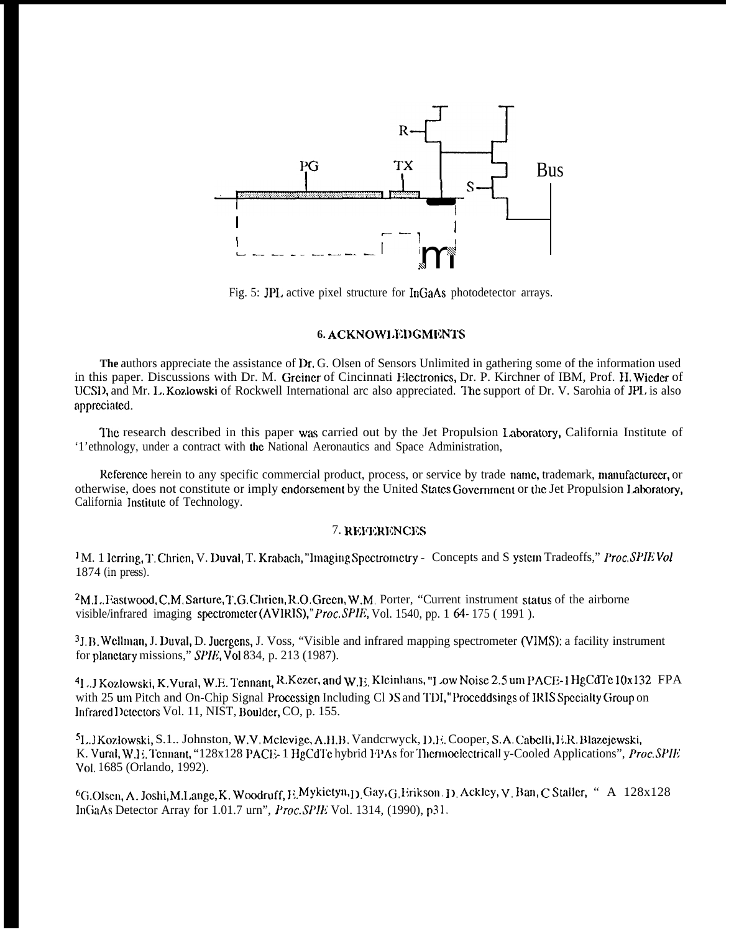

Fig. 5: JPL active pixel structure for InGaAs photodetector arrays.

### **6. ACKNOWLEDGMENTS**

The authors appreciate the assistance of Dr. G. Olsen of Sensors Unlimited in gathering some of the information used in this paper. Discussions with Dr. M. Greiner of Cincinnati Electronics, Dr. P. Kirchner of IBM, Prof. H. Wieder of UCSI), and Mr. L. Kozlowski of Rockwell International arc also appreciated. The support of Dr. V. Sarohia of JPL is also appreciated.

The research described in this paper was carried out by the Jet Propulsion Laboratory, California Institute of '1'ethnology, under a contract with the National Aeronautics and Space Administration,

Reference herein to any specific commercial product, process, or service by trade name, trademark, manufactureer, or otherwise, does not constitute or imply endorsement by the United States Government or the Jet Propulsion Laboratory, California Institute of Technology.

### 7. REFERENCES

<sup>1</sup>M. 1 lerring, T. Chrien, V. Duval, T. Krabach, "Imaging Spectrometry - Concepts and S ystem Tradeoffs," Proc. SPIE Vol 1874 (in press).

 $2$ M.L. Eastwood, C.M. Sarture, T.G. Chrien, R.O. Green, W.M. Porter, "Current instrument status of the airborne visible/infrared imaging spectrometer (AVIRIS)," Proc. SPIE, Vol. 1540, pp. 1 64-175 (1991).

<sup>3</sup>J.B. Wellman, J. Duval, D. Juergens, J. Voss, "Visible and infrared mapping spectrometer (VIMS): a facility instrument for planetary missions," SPIE, Vol 834, p. 213 (1987).

<sup>4</sup>L. J Kozlowski, K. Vural, W.E. Tennant, R. Kezer, and W.E. Kleinhans, "Low Noise 2.5 um PACE-1 HgCdTe 10x132 FPA with 25 um Pitch and On-Chip Signal Processign Including C1 >S and TDI, "Proceddsings of IRIS Specialty Group on Infrared Detectors Vol. 11, NIST, Boulder, CO, p. 155.

<sup>5</sup>L. J Kozłowski, S.1.. Johnston, W.V. Mclevige, A.H.B. Vandcrwyck, D.E. Cooper, S.A. Cabelli, E.R. Blazejewski, K. Vural, W.H. Tennant, "128x128 PACE-1 HgCdTe hybrid IPAs for Thermoelectricall y-Cooled Applications", Proc. SPIE Vol. 1685 (Orlando, 1992).

<sup>6</sup>G.Olsen, A. Joshi, M.Lange, K. Woodruff, E. Mykietyn, D. Gay, G. Erikson, D. Ackley, V. Ban, C Staller, "A 128x128 InGaAs Detector Array for 1.01.7 urn", *Proc. SPIE* Vol. 1314, (1990), p31.